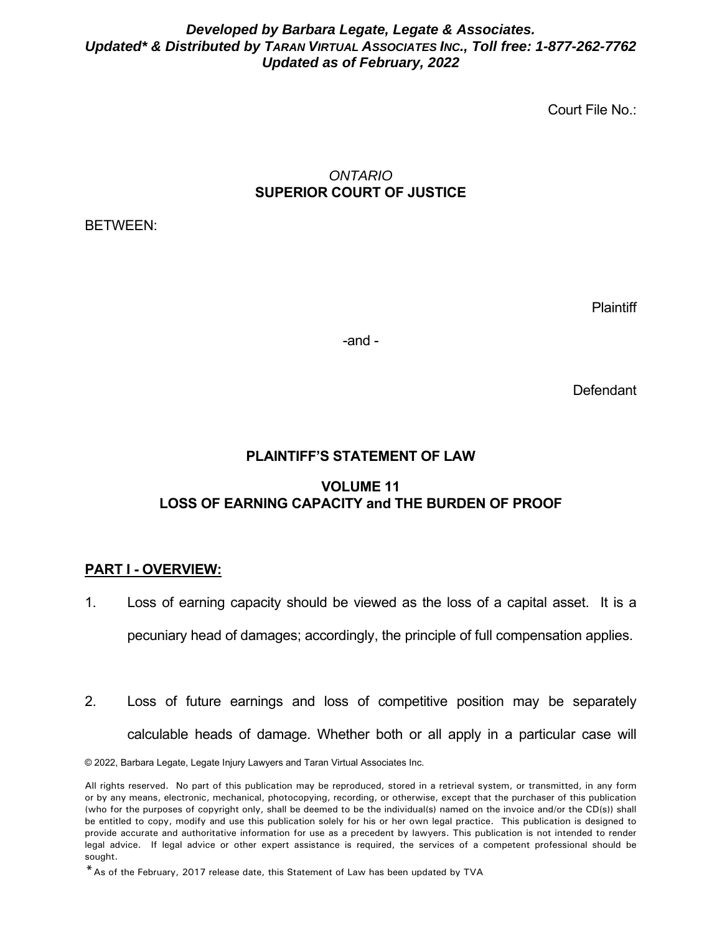### *Developed by Barbara Legate, Legate & Associates. Updated\* & Distributed by TARAN VIRTUAL ASSOCIATES INC., Toll free: 1-877-262-7762 Updated as of February, 2022*

Court File No.:

## *ONTARIO*  **SUPERIOR COURT OF JUSTICE**

BETWEEN:

**Plaintiff** 

-and -

Defendant

# **PLAINTIFF'S STATEMENT OF LAW**

## **VOLUME 11 LOSS OF EARNING CAPACITY and THE BURDEN OF PROOF**

### **PART I - OVERVIEW:**

- 1. Loss of earning capacity should be viewed as the loss of a capital asset. It is a pecuniary head of damages; accordingly, the principle of full compensation applies.
- 2. Loss of future earnings and loss of competitive position may be separately calculable heads of damage. Whether both or all apply in a particular case will

© 2022, Barbara Legate, Legate Injury Lawyers and Taran Virtual Associates Inc.

All rights reserved. No part of this publication may be reproduced, stored in a retrieval system, or transmitted, in any form or by any means, electronic, mechanical, photocopying, recording, or otherwise, except that the purchaser of this publication (who for the purposes of copyright only, shall be deemed to be the individual(s) named on the invoice and/or the CD(s)) shall be entitled to copy, modify and use this publication solely for his or her own legal practice. This publication is designed to provide accurate and authoritative information for use as a precedent by lawyers. This publication is not intended to render legal advice. If legal advice or other expert assistance is required, the services of a competent professional should be sought.

<sup>\*</sup>As of the February, 2017 release date, this Statement of Law has been updated by TVA